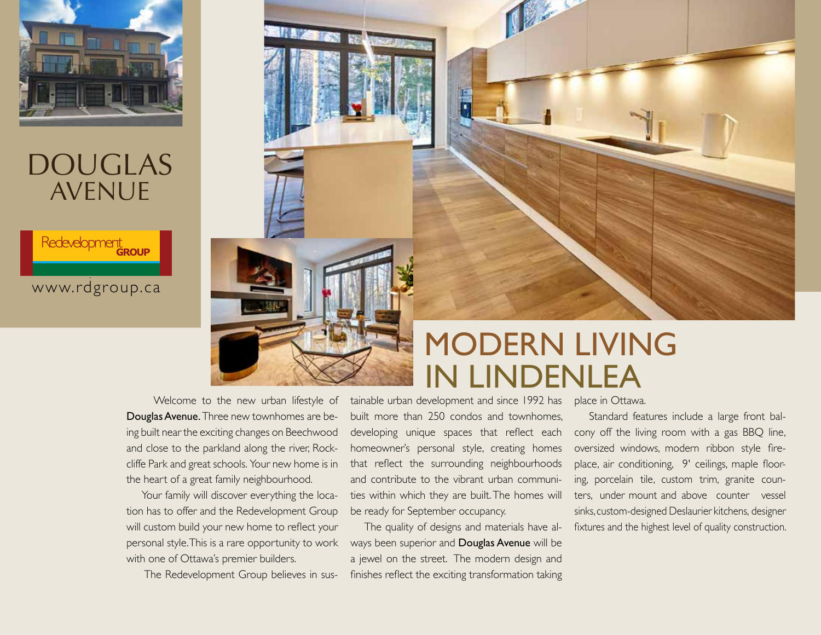



#### www.rdgroup.ca **www.rdgroup.ca**



 Welcome to the new urban lifestyle of Douglas Avenue. Three new townhomes are being built near the exciting changes on Beechwood and close to the parkland along the river, Rockcliffe Park and great schools. Your new home is in the heart of a great family neighbourhood.

Your family will discover everything the location has to offer and the Redevelopment Group will custom build your new home to reflect your personal style. This is a rare opportunity to work with one of Ottawa's premier builders.

The Redevelopment Group believes in sus-

# MODERN LIVING<br>IN LINDENLEA

tainable urban development and since 1992 has place in Ottawa. built more than 250 condos and townhomes, developing unique spaces that reflect each homeowner's personal style, creating homes that reflect the surrounding neighbourhoods and contribute to the vibrant urban communities within which they are built. The homes will be ready for September occupancy.

 The quality of designs and materials have always been superior and Douglas Avenue will be a jewel on the street. The modern design and finishes reflect the exciting transformation taking

 Standard features include a large front balcony off the living room with a gas BBQ line, oversized windows, modern ribbon style fireplace, air conditioning, 9' ceilings, maple flooring, porcelain tile, custom trim, granite counters, under mount and above counter vessel sinks, custom-designed Deslaurier kitchens, designer fixtures and the highest level of quality construction.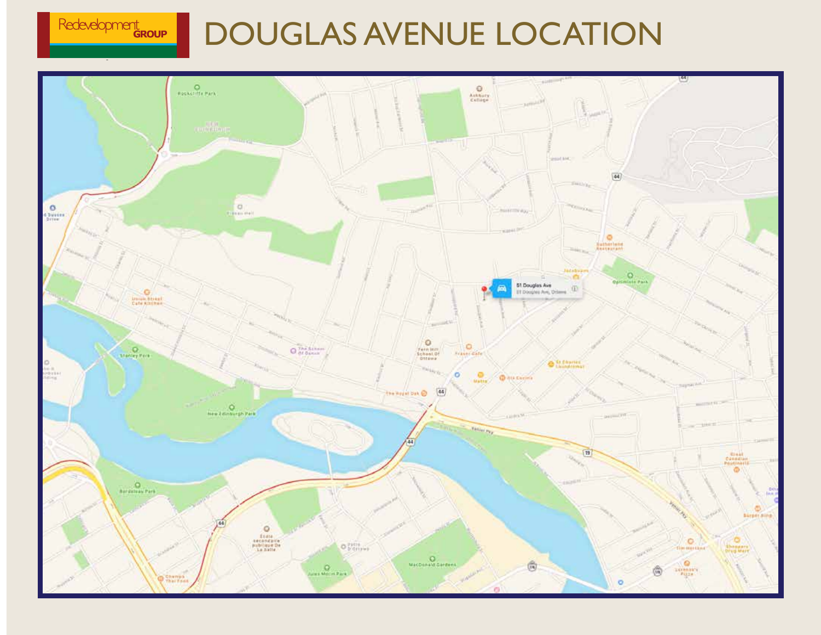

# DOUGLAS AVENUE LOCATION

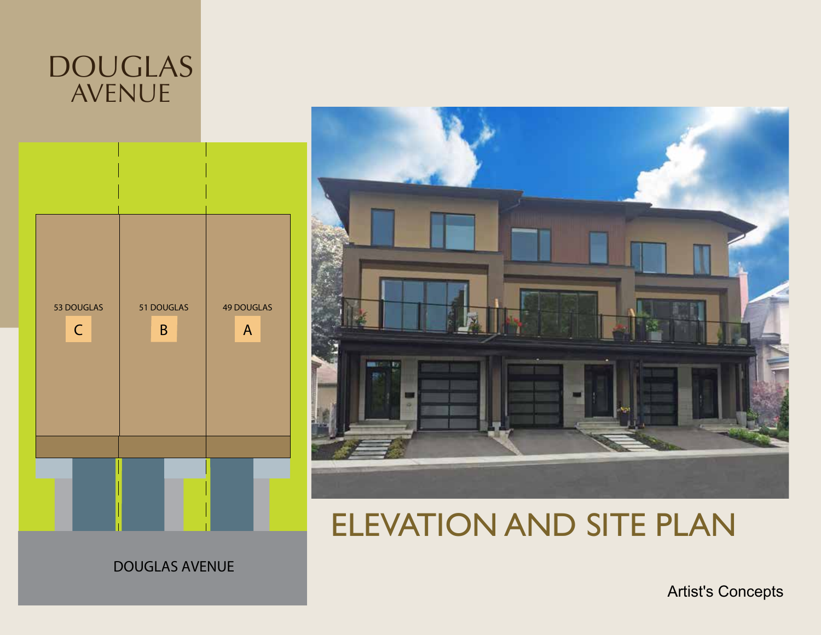



## ELEVATION AND SITE PLAN

DOUGLAS AVENUE

Artist's Concepts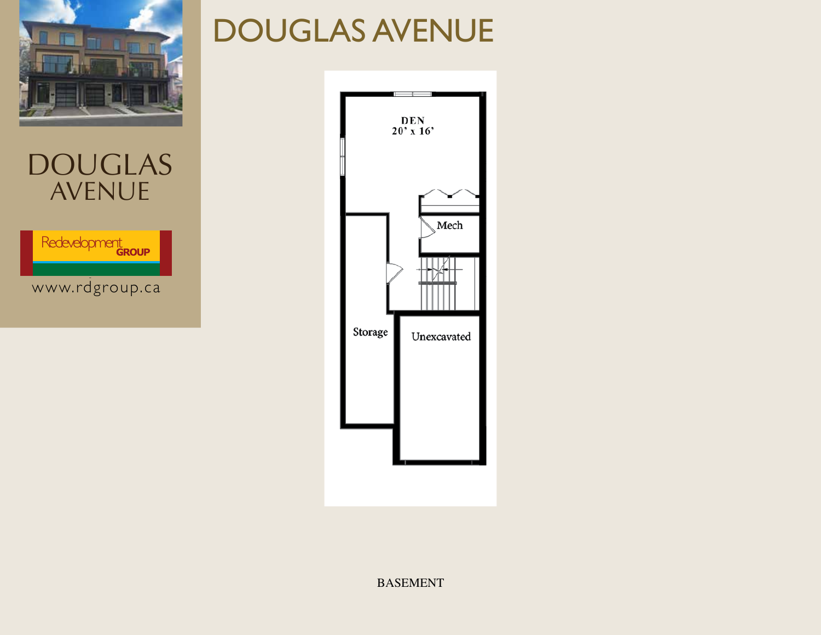

Redevelopment

DOUGLAS

AVENUE

www.rdgroup.ca **www.rdgroup.ca**

# DOUGLAS AVENUE



BASEMENT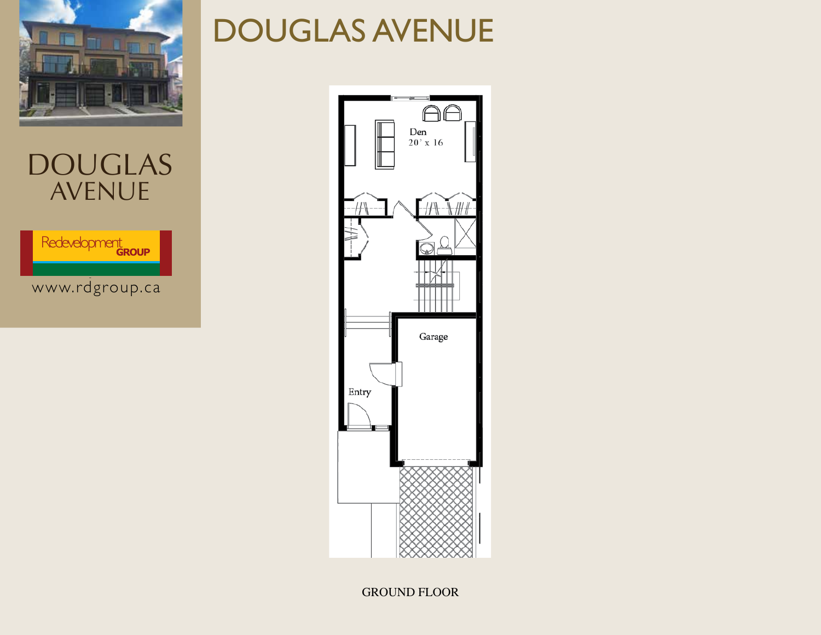

Redevelopment

www.rdgroup.ca **www.rdgroup.ca**

# DOUGLAS AVENUE



GROUND FLOOR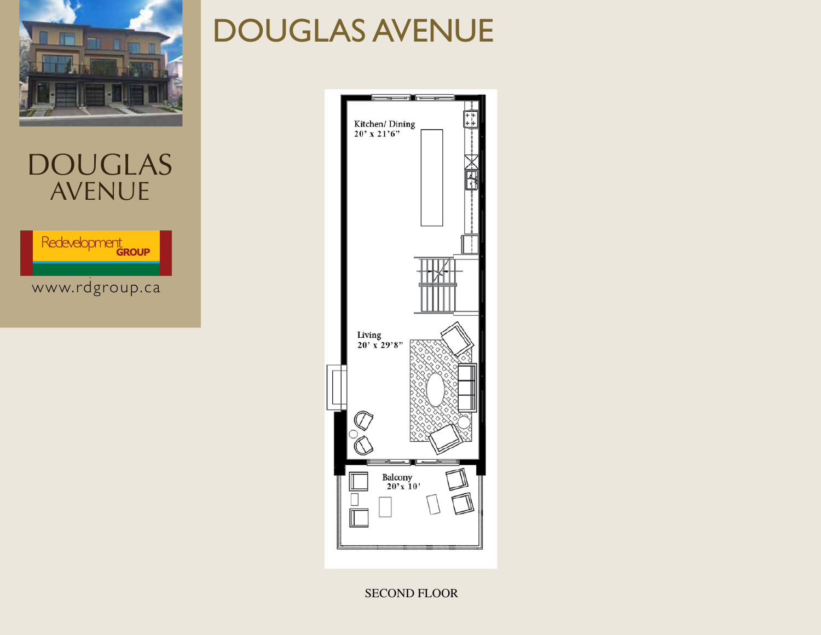

Redevelopment

www.rdgroup.ca **www.rdgroup.ca**

# DOUGLAS AVENUE



SECOND FLOOR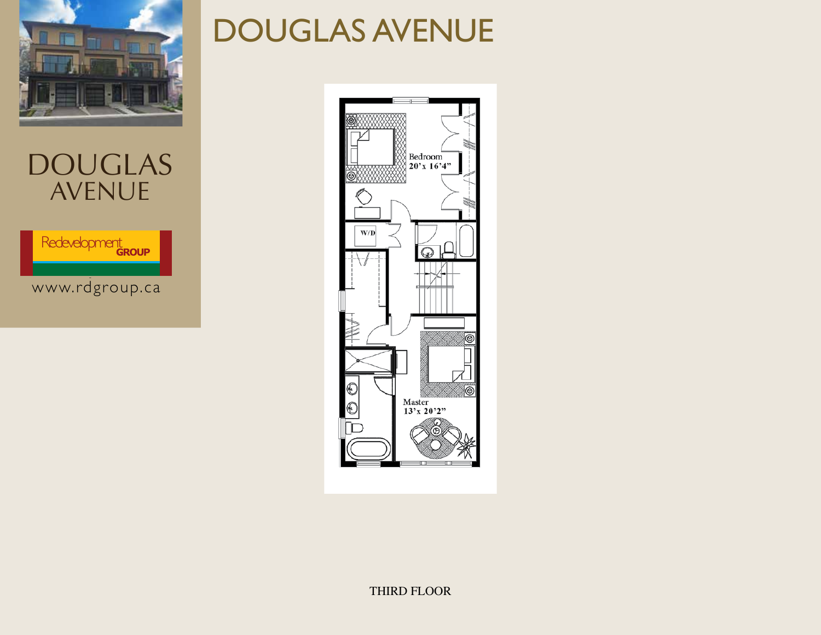



### DOUGLAS AVENUE

Redevelopment

www.rdgroup.ca **www.rdgroup.ca**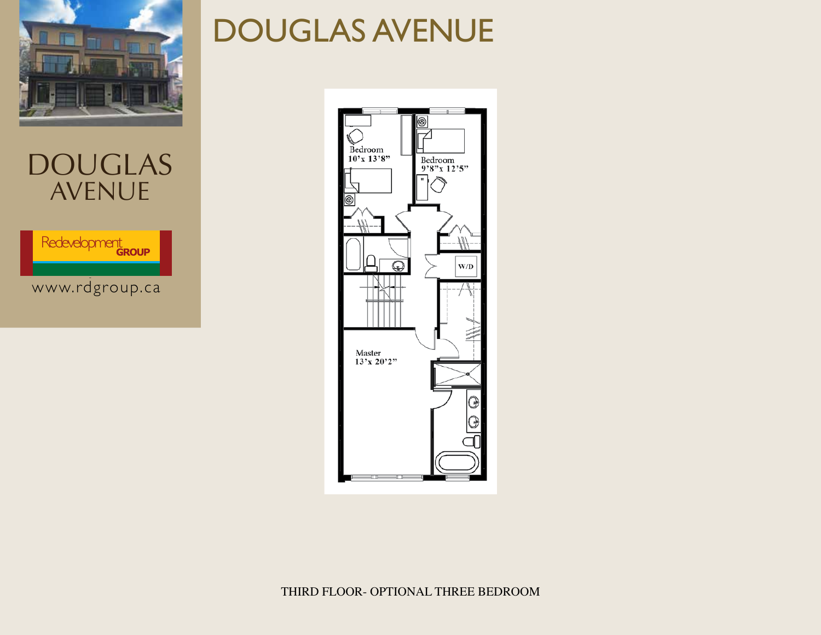

### DOUGLAS AVENUE

Redevelopment

www.rdgroup.ca **www.rdgroup.ca**

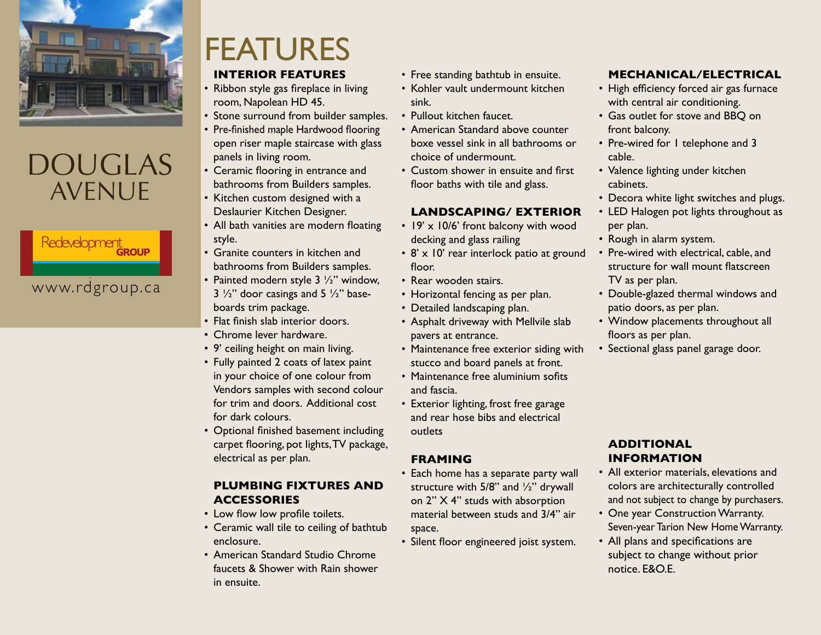

### Redevelopment

www.rdgroup.ca **www.rdgroup.ca**

# FEATURES

#### **INTERIOR FEATURES**

- Ribbon style gas fireplace in living room, Napolean HD 45.
- Stone surround from builder samples.
- Pre-finished maple Hardwood flooring open riser maple staircase with glass panels in living room.
- Ceramic flooring in entrance and bathrooms from Builders samples.
- Kitchen custom designed with a Deslaurier Kitchen Designer.
- All bath vanities are modern floating style.
- Granite counters in kitchen and bathrooms from Builders samples.
- Painted modern style  $3 \frac{1}{2}$ " window,  $3\frac{1}{2}$ " door casings and  $5\frac{1}{2}$ " baseboards trim package.
- Flat finish slab interior doors.
- Chrome lever hardware.
- 9' ceiling height on main living.
- Fully painted 2 coats of latex paint in your choice of one colour from Vendors samples with second colour for trim and doors. Additional cost for dark colours.
- Optional finished basement including carpet flooring, pot lights,TV package, electrical as per plan.

#### **PLUMBING FIXTURES AND ACCESSORIES**

- Low flow low profile toilets.
- Ceramic wall tile to ceiling of bathtub enclosure.
- American Standard Studio Chrome faucets & Shower with Rain shower in ensuite.
- Free standing bathtub in ensuite.
- Kohler vault undermount kitchen sink.
- Pullout kitchen faucet.
- American Standard above counter boxe vessel sink in all bathrooms or choice of undermount.
- Custom shower in ensuite and first floor baths with tile and glass.

#### **LANDSCAPING/ EXTERIOR**

- $\cdot$  19'  $\times$  10/6' front balcony with wood decking and glass railing
- 8' x 10' rear interlock patio at ground floor.
- Rear wooden stairs.
- Horizontal fencing as per plan.
- Detailed landscaping plan.
- Asphalt driveway with Mellvile slab pavers at entrance.
- Maintenance free exterior siding with stucco and board panels at front.
- Maintenance free aluminium sofits and fascia.
- Exterior lighting, frost free garage and rear hose bibs and electrical outlets

#### **FRAMING**

- Each home has a separate party wall structure with 5/8" and ½" drywall on 2" X 4" studs with absorption material between studs and 3/4" air space.
- • Silent floor engineered joist system.

#### **MECHANICAL/ELECTRICAL**

- High efficiency forced air gas furnace with central air conditioning.
- Gas outlet for stove and BBQ on front balcony.
- Pre-wired for I telephone and 3 cable.
- Valence lighting under kitchen cabinets.
- Decora white light switches and plugs.
- LED Halogen pot lights throughout as per plan.
- Rough in alarm system.
- Pre-wired with electrical, cable, and structure for wall mount flatscreen TV as per plan.
- Double-glazed thermal windows and patio doors, as per plan.
- Window placements throughout all floors as per plan.
- Sectional glass panel garage door.

#### **ADDITIONAL INFORMATION**

- All exterior materials, elevations and colors are architecturally controlled and not subject to change by purchasers.
- One year Construction Warranty. Seven-year Tarion New Home Warranty.
- All plans and specifications are subject to change without prior notice. E&O.E.